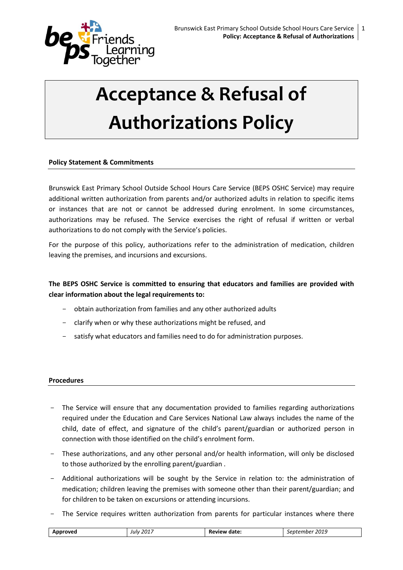

# **Acceptance & Refusal of Authorizations Policy**

# **Policy Statement & Commitments**

Brunswick East Primary School Outside School Hours Care Service (BEPS OSHC Service) may require additional written authorization from parents and/or authorized adults in relation to specific items or instances that are not or cannot be addressed during enrolment. In some circumstances, authorizations may be refused. The Service exercises the right of refusal if written or verbal authorizations to do not comply with the Service's policies.

For the purpose of this policy, authorizations refer to the administration of medication, children leaving the premises, and incursions and excursions.

**The BEPS OSHC Service is committed to ensuring that educators and families are provided with clear information about the legal requirements to:**

- obtain authorization from families and any other authorized adults
- clarify when or why these authorizations might be refused, and
- satisfy what educators and families need to do for administration purposes.

## **Procedures**

- The Service will ensure that any documentation provided to families regarding authorizations required under the Education and Care Services National Law always includes the name of the child, date of effect, and signature of the child's parent/guardian or authorized person in connection with those identified on the child's enrolment form.
- These authorizations, and any other personal and/or health information, will only be disclosed to those authorized by the enrolling parent/guardian .
- Additional authorizations will be sought by the Service in relation to: the administration of medication; children leaving the premises with someone other than their parent/guardian; and for children to be taken on excursions or attending incursions.
- The Service requires written authorization from parents for particular instances where there

| Apr<br>ovec."<br>$\cdot$ | $\sim$ $\sim$<br>201.<br>July<br>____ | date | 2040<br>2019<br>$\sim$<br>$\cdot$<br>___<br>. |
|--------------------------|---------------------------------------|------|-----------------------------------------------|
|                          |                                       |      |                                               |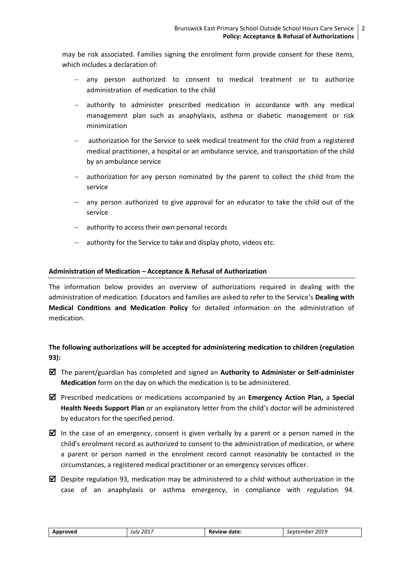may be risk associated. Families signing the enrolment form provide consent for these items, which includes a declaration of:

- any person authorized to consent to medical treatment or to authorize administration of medication to the child
- authority to administer prescribed medication in accordance with any medical management plan such as anaphylaxis, asthma or diabetic management or risk minimization
- authorization for the Service to seek medical treatment for the child from a registered medical practitioner, a hospital or an ambulance service, and transportation of the child by an ambulance service
- authorization for any person nominated by the parent to collect the child from the service
- any person authorized to give approval for an educator to take the child out of the service
- $-$  authority to access their own personal records
- authority for the Service to take and display photo, videos etc.

## **Administration of Medication – Acceptance & Refusal of Authorization**

The information below provides an overview of authorizations required in dealing with the administration of medication. Educators and families are asked to refer to the Service's **Dealing with Medical Conditions and Medication Policy** for detailed information on the administration of medication.

# **The following authorizations will be accepted for administering medication to children (regulation 93):**

 The parent/guardian has completed and signed an **Authority to Administer or Self-administer Medication** form on the day on which the medication is to be administered.

 Prescribed medications or medications accompanied by an **Emergency Action Plan,** a **Special Health Needs Support Plan** or an explanatory letter from the child's doctor will be administered by educators for the specified period.

- In the case of an emergency, consent is given verbally by a parent or a person named in the child's enrolment record as authorized to consent to the administration of medication, or where a parent or person named in the enrolment record cannot reasonably be contacted in the circumstances, a registered medical practitioner or an emergency services officer.
- $\boxtimes$  Despite regulation 93, medication may be administered to a child without authorization in the case of an anaphylaxis or asthma emergency, in compliance with regulation 94.

| Approved | 2017<br>Julv | Review date: | 2019<br>september |
|----------|--------------|--------------|-------------------|
|----------|--------------|--------------|-------------------|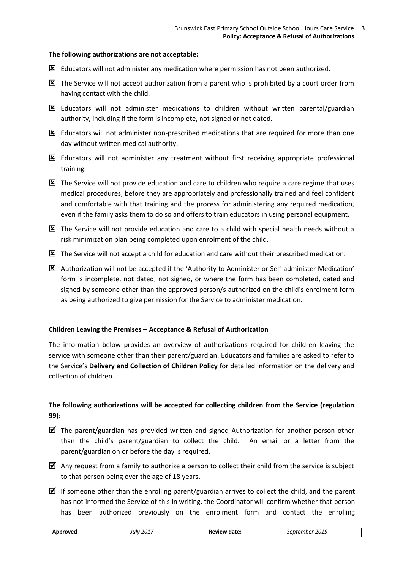## **The following authorizations are not acceptable:**

- Educators will not administer any medication where permission has not been authorized.
- The Service will not accept authorization from a parent who is prohibited by a court order from having contact with the child.
- $\boxtimes$  Educators will not administer medications to children without written parental/guardian authority, including if the form is incomplete, not signed or not dated.
- $\boxtimes$  Educators will not administer non-prescribed medications that are required for more than one day without written medical authority.
- Educators will not administer any treatment without first receiving appropriate professional training.
- $\Sigma$  The Service will not provide education and care to children who require a care regime that uses medical procedures, before they are appropriately and professionally trained and feel confident and comfortable with that training and the process for administering any required medication, even if the family asks them to do so and offers to train educators in using personal equipment.
- $\boxtimes$  The Service will not provide education and care to a child with special health needs without a risk minimization plan being completed upon enrolment of the child.
- The Service will not accept a child for education and care without their prescribed medication.
- Authorization will not be accepted if the 'Authority to Administer or Self-administer Medication' form is incomplete, not dated, not signed, or where the form has been completed, dated and signed by someone other than the approved person/s authorized on the child's enrolment form as being authorized to give permission for the Service to administer medication.

## **Children Leaving the Premises Acceptance & Refusal of Authorization**

The information below provides an overview of authorizations required for children leaving the service with someone other than their parent/guardian. Educators and families are asked to refer to the Service's **Delivery and Collection of Children Policy** for detailed information on the delivery and collection of children.

# **The following authorizations will be accepted for collecting children from the Service (regulation 99):**

- $\boxtimes$  The parent/guardian has provided written and signed Authorization for another person other than the child's parent/guardian to collect the child. An email or a letter from the parent/guardian on or before the day is required.
- $\boxtimes$  Any request from a family to authorize a person to collect their child from the service is subject to that person being over the age of 18 years.
- If someone other than the enrolling parent/guardian arrives to collect the child, and the parent has not informed the Service of this in writing, the Coordinator will confirm whether that person has been authorized previously on the enrolment form and contact the enrolling

|--|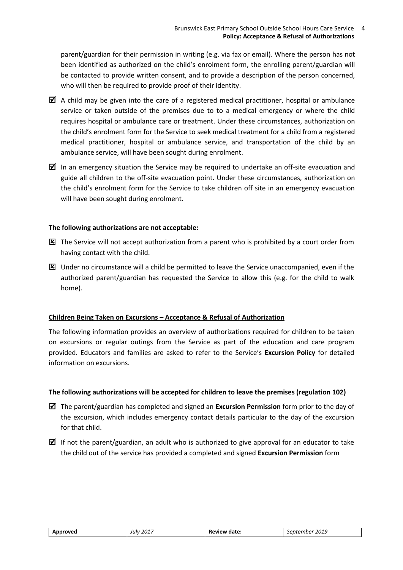parent/guardian for their permission in writing (e.g. via fax or email). Where the person has not been identified as authorized on the child's enrolment form, the enrolling parent/guardian will be contacted to provide written consent, and to provide a description of the person concerned, who will then be required to provide proof of their identity.

- $\boxtimes$  A child may be given into the care of a registered medical practitioner, hospital or ambulance service or taken outside of the premises due to to a medical emergency or where the child requires hospital or ambulance care or treatment. Under these circumstances, authorization on the child's enrolment form for the Service to seek medical treatment for a child from a registered medical practitioner, hospital or ambulance service, and transportation of the child by an ambulance service, will have been sought during enrolment.
- $\boxtimes$  In an emergency situation the Service may be required to undertake an off-site evacuation and guide all children to the off-site evacuation point. Under these circumstances, authorization on the child's enrolment form for the Service to take children off site in an emergency evacuation will have been sought during enrolment.

## **The following authorizations are not acceptable:**

- $\boxtimes$  The Service will not accept authorization from a parent who is prohibited by a court order from having contact with the child.
- $\boxtimes$  Under no circumstance will a child be permitted to leave the Service unaccompanied, even if the authorized parent/guardian has requested the Service to allow this (e.g. for the child to walk home).

# **Children Being Taken on Excursions – Acceptance & Refusal of Authorization**

The following information provides an overview of authorizations required for children to be taken on excursions or regular outings from the Service as part of the education and care program provided. Educators and families are asked to refer to the Service's **Excursion Policy** for detailed information on excursions.

# **The following authorizations will be accepted for children to leave the premises (regulation 102)**

- The parent/guardian has completed and signed an **Excursion Permission** form prior to the day of the excursion, which includes emergency contact details particular to the day of the excursion for that child.
- If not the parent/guardian, an adult who is authorized to give approval for an educator to take the child out of the service has provided a completed and signed **Excursion Permission** form

| pproved،<br>" | 2017<br>Julv | date.<br>Review | 2019<br>September |
|---------------|--------------|-----------------|-------------------|